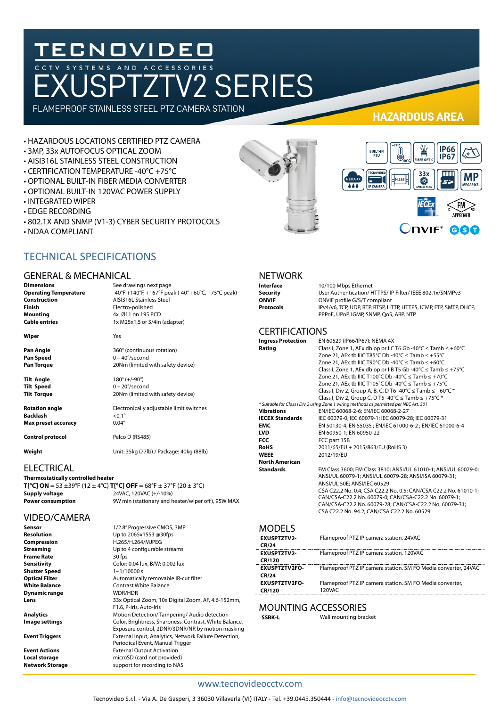# TECNOVIDEO<br>CCTV SYSTEMS AND ACCESSORIES<br>FXUSPTZTV2 SERIES

FLAMEPROOF STAINLESS STEEL PTZ CAMERA STATION

#### • HAZARDOUS LOCATIONS CERTIFIED PTZ CAMERA

- 3MP, 33x AUTOFOCUS OPTICAL ZOOM
- AISI316L STAINLESS STEEL CONSTRUCTION
- CERTIFICATION TEMPERATURE -40°C +75°C
- OPTIONAL BUILT-IN FIBER MEDIA CONVERTER
- OPTIONAL BUILT-IN 120VAC POWER SUPPLY
- INTEGRATED WIPER
- EDGE RECORDING
- 802.1X AND SNMP (V1-3) CYBER SECURITY PROTOCOLS
- NDAA COMPLIANT



#### GENERAL & MECHANICAL

| <b>Dimensions</b>            |
|------------------------------|
| <b>Operating Temperature</b> |
| Construction                 |
| Finish                       |
| Mounting                     |
| <b>Cable entries</b>         |
|                              |

**Wiper** Yes

**Pan Angle** 360° (continuous rotation) **Pan Speed** 0 – 40°/second<br> **Pan Torque** 20Nm (limited)

**Tilt Angle** 180° (+/-90°) **Tilt Speed** 0 – 20°/second<br> **Tilt Torque** 20Nm (limited) 20Nm (limited with safety device)

20Nm (limited with safety device)

See drawings next page

**Construction** AISI316L Stainless Steel **Finish** Electro-polished **Mounting** 4x Ø11 on 195 PCD **Cable entries** 1x M25x1,5 or 3/4in (adapter)

**Operating Temperature** -40°F +140°F, +167°F peak (-40° +60°C, +75°C peak)

**Rotation angle** Electronically adjustable limit switches **Backlash** <0,1°<br> **Max preset accuracy** 0.04°

**Max preset accuracy Control protocol** Pelco D (RS485)

**Weight** Unit: 35kg (77lb) / Package: 40kg (88lb)

#### **ELECTRICAL**

**Thermostatically controlled heater T[°C] ON** = 53  $\pm$ 39°F (12  $\pm$  4°C) **T[°C] OFF** = 68°F  $\pm$  37°F (20  $\pm$  3°C)<br>**Supply voltage** 24VAC, 120VAC (+/-10%) **Supply voltage** 24VAC, 120VAC (+/-10%)

**Power consumption** 9W min (stationary and heater/wiper off), 95W MAX

### VIDEO/CAMERA

**Frame Rate**<br>Sensitivity **Shutter Speed**<br>Ontical Filter **Dynamic range** 

**Sensor** 1/2.8" Progressive CMOS, 3MP **Resolution** Up to 2065x1553 @30fps<br> **Compression** H.265/H.264/MJPEG **Compression** H.265/H.264/MJPEG **Streaming** Up to 4 configurable streams<br> **Frame Rate** 30 fps **Color: 0.04 lux, B/W: 0.002 lux<br>1~1/10000 s Optical Filter** Automatically removable IR-cut filter **White Balance Contrast White Balance**<br> **NOR/HDR Lens** 33x Optical Zoom, 10x Digital Zoom, AF, 4.6-152mm, F1.6, P-Iris, Auto-Iris **Analytics** Motion Detection/ Tampering/ Audio detection<br> **Image settings** Color, Brightness, Sharpness, Contrast, White Bal **Image settings** Color, Brightness, Sharpness, Contrast, White Balance, Exposure control, 2DNR/3DNR/NR by motion masking **Event Triggers** External Input, Analytics, Network Failure Detection, Periodical Event, Manual Trigger **Event Actions**<br> **Local storage External Output Activation**<br>
microSD (card not provided **Local storage** microSD (card not provided)<br> **Network Storage** support for recording to NAS support for recording to NAS

#### **HAZARDOUS AREA**



| <b>NETWORK</b> |  |
|----------------|--|
| Interface      |  |
| Security       |  |

#### **Interface** 10/100 Mbps Ethernet **Security** User Authentication/ HTTPS/ IP Filter/ IEEE 802.1x/SNMPv3<br> **ONVIF** DONVIF profile G/S/T compliant **ONVIF** profile G/S/T compliant **Protocols** IPv4/v6, TCP, UDP, RTP, RTSP, HTTP, HTTPS, ICMP, FTP, SMTP, DHCP, PPPoE, UPnP, IGMP, SNMP, QoS, ARP, NTP

#### **CERTIFICATIONS**

| <b>Ingress Protection</b><br>Rating | EN 60529 (IP66/IP67); NEMA 4X<br>Class I, Zone 1, AEx db op pr IIC T6 Gb -40°C $\leq$ Tamb $\leq$ +60°C<br>Zone 21, AEx tb IIIC T85°C Db -40°C $\le$ Tamb $\le$ +55°C<br>Zone 21, AEx tb IIIC T90°C Db -40°C $\le$ Tamb $\le$ +60°C<br>Class I, Zone 1, AEx db op pr IIB T5 Gb -40°C $\leq$ Tamb $\leq$ +75°C<br>Zone 21, AEx tb IIIC T100°C Db -40°C $\le$ Tamb $\le$ +70°C                   |
|-------------------------------------|------------------------------------------------------------------------------------------------------------------------------------------------------------------------------------------------------------------------------------------------------------------------------------------------------------------------------------------------------------------------------------------------|
|                                     | Zone 21, AEx tb IIIC T105°C Db -40°C $\leq$ Tamb $\leq$ +75°C                                                                                                                                                                                                                                                                                                                                  |
|                                     | Class I, Div 2, Group A, B, C, D T6 -40°C $\leq$ Tamb $\leq$ +60°C $*$                                                                                                                                                                                                                                                                                                                         |
|                                     | Class I, Div 2, Group C, D T5 -40°C $\le$ Tamb $\le$ +75°C $*$                                                                                                                                                                                                                                                                                                                                 |
| <b>Vibrations</b>                   | * Suitable for Class I Div 2 using Zone 1 wiring methods as permitted per NEC Art. 501<br>EN/IEC 60068-2-6; EN/IEC 60068-2-27                                                                                                                                                                                                                                                                  |
| <b>IECEX Standards</b>              | IEC 60079-0: IEC 60079-1: IEC 60079-28: IEC 60079-31                                                                                                                                                                                                                                                                                                                                           |
| <b>EMC</b>                          | EN 50130-4; EN 55035 ; EN/IEC 61000-6-2 ; EN/IEC 61000-6-4                                                                                                                                                                                                                                                                                                                                     |
| <b>LVD</b>                          | EN 60950-1: EN 60950-22                                                                                                                                                                                                                                                                                                                                                                        |
| <b>FCC</b>                          | FCC part 15B                                                                                                                                                                                                                                                                                                                                                                                   |
| <b>RoHS</b>                         | 2011/65/EU + 2015/863/EU (RoHS 3)                                                                                                                                                                                                                                                                                                                                                              |
| <b>WEEE</b>                         | 2012/19/EU                                                                                                                                                                                                                                                                                                                                                                                     |
| <b>North American</b>               |                                                                                                                                                                                                                                                                                                                                                                                                |
| <b>Standards</b>                    | FM Class 3600: FM Class 3810: ANSI/UL 61010-1: ANSI/UL 60079-0:<br>ANSI/UL 60079-1; ANSI/UL 60079-28; ANSI/ISA 60079-31;<br>ANSI/UL 50E; ANSI/IEC 60529<br>CSA C22.2 No. 0.4; CSA C22.2 No. 0.5; CAN/CSA C22.2 No. 61010-1;<br>CAN/CSA-C22.2 No. 60079-0; CAN/CSA-C22.2 No. 60079-1;<br>CAN/CSA-C22.2 No. 60079-28; CAN/CSA-C22.2 No. 60079-31;<br>CSA C22.2 No. 94.2; CAN/CSA C22.2 No. 60529 |
| MODELS                              |                                                                                                                                                                                                                                                                                                                                                                                                |

| <b>EXUSPTZTV2-</b><br><b>CR/24</b>   | Flameproof PTZ IP camera station, 24VAC                            |
|--------------------------------------|--------------------------------------------------------------------|
| <b>EXUSPTZTV2-</b><br>CR/120         | Flameproof PTZ IP camera station, 120VAC                           |
| <b>EXUSPTZTV2FO-</b><br><b>CR/24</b> | Flameproof PTZ IP camera station. SM FO Media converter, 24VAC     |
| <b>EXUSPTZTV2FO-</b><br>CR/120       | Flameproof PTZ IP camera station. SM FO Media converter,<br>120VAC |

#### MOUNTING ACCESSORIES

**SSBK-L** Wall mounting bracket

#### www.tecnovideocctv.com